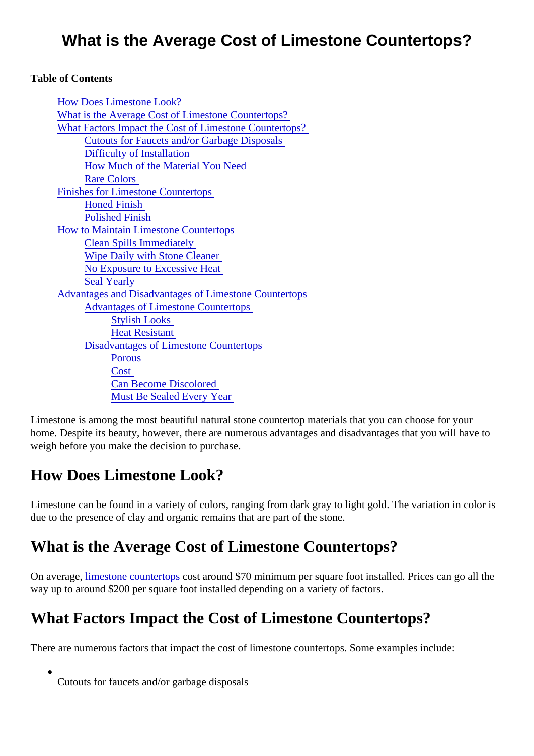#### What is the Average Cost of Limestone Countertops?

#### Table of Contents

| <b>How Does Limestone Look?</b>                              |
|--------------------------------------------------------------|
| What is the Average Cost of Limestone Countertops?           |
| What Factors Impact the Cost of Limestone Countertops?       |
| <b>Cutouts for Faucets and/or Garbage Disposals</b>          |
| <b>Difficulty of Installation</b>                            |
| How Much of the Material You Need                            |
| <b>Rare Colors</b>                                           |
| <b>Finishes for Limestone Countertops</b>                    |
| <b>Honed Finish</b>                                          |
| <b>Polished Finish</b>                                       |
| <b>How to Maintain Limestone Countertops</b>                 |
| <b>Clean Spills Immediately</b>                              |
| <b>Wipe Daily with Stone Cleaner</b>                         |
| No Exposure to Excessive Heat                                |
| <b>Seal Yearly</b>                                           |
| <b>Advantages and Disadvantages of Limestone Countertops</b> |
| <b>Advantages of Limestone Countertops</b>                   |
| <b>Stylish Looks</b>                                         |
| <b>Heat Resistant</b>                                        |
| <b>Disadvantages of Limestone Countertops</b>                |
| <b>Porous</b>                                                |
| Cost                                                         |
| <b>Can Become Discolored</b>                                 |
| <b>Must Be Sealed Every Year</b>                             |

Limestone is among the most beautiful natural stone countertop materials that you can choose for your home. Despite its beauty, however, there are numerous advantages and disadvantages that you will have weigh before you make the decision to purchase.

#### How Does Limestone Look?

Limestone can be found in a variety of colors, ranging from dark gray to light gold. The variation in color is due to the presence of clay and organic remains that are part of the stone.

#### What is the Average Cost of Limestone Countertops?

Onaveragelimestone countertops caround \$70 minimum per square foot installed. Prices can go all the way up to around \$200 per square foot installed depending on a variety of factors.

# What Factors Impact the Cost of Limestone Countertops?

There are numerous factors that impact the cost of limestone countertops. Some examples include:

Cutouts for faucets and/or garbage disposals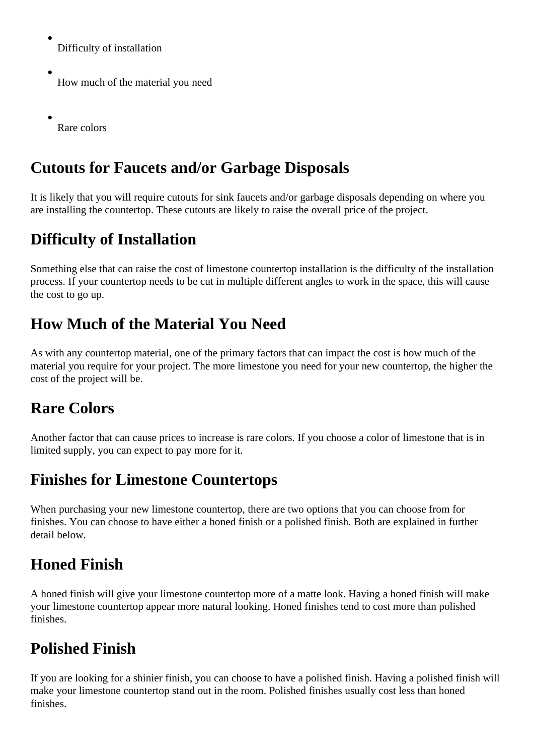Difficulty of installation

How much of the material you need

Rare colors

#### **Cutouts for Faucets and/or Garbage Disposals**

It is likely that you will require cutouts for sink faucets and/or garbage disposals depending on where you are installing the countertop. These cutouts are likely to raise the overall price of the project.

#### **Difficulty of Installation**

Something else that can raise the cost of limestone countertop installation is the difficulty of the installation process. If your countertop needs to be cut in multiple different angles to work in the space, this will cause the cost to go up.

#### **How Much of the Material You Need**

As with any countertop material, one of the primary factors that can impact the cost is how much of the material you require for your project. The more limestone you need for your new countertop, the higher the cost of the project will be.

# **Rare Colors**

Another factor that can cause prices to increase is rare colors. If you choose a color of limestone that is in limited supply, you can expect to pay more for it.

#### **Finishes for Limestone Countertops**

When purchasing your new limestone countertop, there are two options that you can choose from for finishes. You can choose to have either a honed finish or a polished finish. Both are explained in further detail below.

# **Honed Finish**

A honed finish will give your limestone countertop more of a matte look. Having a honed finish will make your limestone countertop appear more natural looking. Honed finishes tend to cost more than polished finishes.

# **Polished Finish**

If you are looking for a shinier finish, you can choose to have a polished finish. Having a polished finish will make your limestone countertop stand out in the room. Polished finishes usually cost less than honed finishes.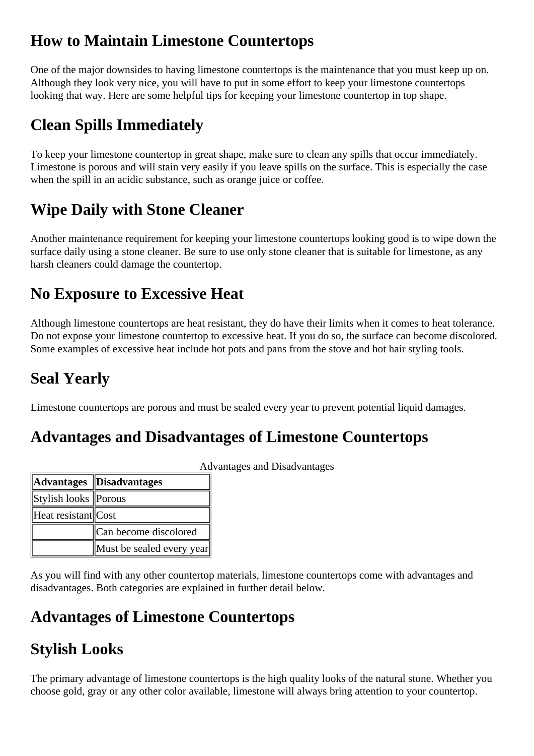## <span id="page-2-0"></span>**How to Maintain Limestone Countertops**

One of the major downsides to having limestone countertops is the maintenance that you must keep up on. Although they look very nice, you will have to put in some effort to keep your limestone countertops looking that way. Here are some helpful tips for keeping your limestone countertop in top shape.

# **Clean Spills Immediately**

To keep your limestone countertop in great shape, make sure to clean any spills that occur immediately. Limestone is porous and will stain very easily if you leave spills on the surface. This is especially the case when the spill in an acidic substance, such as orange juice or coffee.

# **Wipe Daily with Stone Cleaner**

Another maintenance requirement for keeping your limestone countertops looking good is to wipe down the surface daily using a stone cleaner. Be sure to use only stone cleaner that is suitable for limestone, as any harsh cleaners could damage the countertop.

#### **No Exposure to Excessive Heat**

Although limestone countertops are heat resistant, they do have their limits when it comes to heat tolerance. Do not expose your limestone countertop to excessive heat. If you do so, the surface can become discolored. Some examples of excessive heat include hot pots and pans from the stove and hot hair styling tools.

# **Seal Yearly**

Limestone countertops are porous and must be sealed every year to prevent potential liquid damages.

#### **Advantages and Disadvantages of Limestone Countertops**

|                      | Advantages Disadvantages  |
|----------------------|---------------------------|
| Stylish looks Porous |                           |
| Heat resistant Cost  |                           |
|                      | Can become discolored     |
|                      | Must be sealed every year |

Advantages and Disadvantages

As you will find with any other countertop materials, limestone countertops come with advantages and disadvantages. Both categories are explained in further detail below.

#### **Advantages of Limestone Countertops**

# **Stylish Looks**

The primary advantage of limestone countertops is the high quality looks of the natural stone. Whether you choose gold, gray or any other color available, limestone will always bring attention to your countertop.